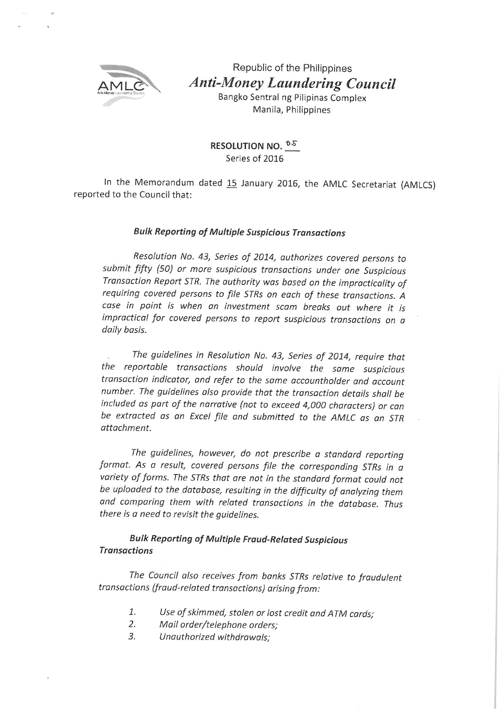

Republic of the Philippines **Anti-Money Laundering Council** Bangko Sentral ng Pilipinas Complex

Manila, Philippines

RESOLUTION NO. <sup>0.5</sup> Series of 2016

In the Memorandum dated 15 January 2016, the AMLC Secretariat (AMLCS) reported to the Council that:

## **Bulk Reporting of Multiple Suspicious Transactions**

Resolution No. 43, Series of 2014, authorizes covered persons to submit fifty (50) or more suspicious transactions under one Suspicious Transaction Report STR. The authority was based on the impracticality of requiring covered persons to file STRs on each of these transactions. A case in point is when an investment scam breaks out where it is impractical for covered persons to report suspicious transactions on a daily basis.

The guidelines in Resolution No. 43, Series of 2014, require that the reportable transactions should involve the same suspicious transaction indicator, and refer to the same accountholder and account number. The guidelines also provide that the transaction details shall be included as part of the narrative (not to exceed 4,000 characters) or can be extracted as an Excel file and submitted to the AMLC as an STR attachment.

The guidelines, however, do not prescribe a standard reporting format. As a result, covered persons file the corresponding STRs in a variety of forms. The STRs that are not in the standard format could not be uploaded to the database, resulting in the difficulty of analyzing them and comparing them with related transactions in the database. Thus there is a need to revisit the quidelines.

## **Bulk Reporting of Multiple Fraud-Related Suspicious Transactions**

The Council also receives from banks STRs relative to fraudulent transactions (fraud-related transactions) arising from:

- 1. Use of skimmed, stolen or lost credit and ATM cards;
- $\overline{2}$ . Mail order/telephone orders;
- Unauthorized withdrawals; 3.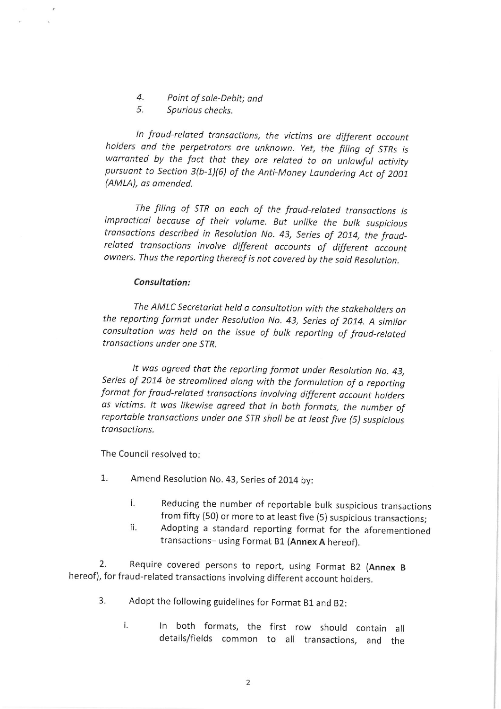- $\overline{4}$ . Point of sale-Debit; and
- 5. Spurious checks.

In fraud-related transactions, the victims are different account holders and the perpetrators are unknown. Yet, the filing of STRs is warranted by the fact that they are related to an unlawful activity pursuant to Section 3(b-1)(6) of the Anti-Money Laundering Act of 2001 (AMLA), as amended.

The filing of STR on each of the fraud-related transactions is impractical because of their volume. But unlike the bulk suspicious transactions described in Resolution No. 43, Series of 2014, the fraudrelated transactions involve different accounts of different account owners. Thus the reporting thereof is not covered by the said Resolution.

#### Consultation:

The AMLC Secretariat held a consultation with the stakeholders on the reporting format under Resolution No. 43, Series of 2014. A similar consultation was held on the issue of bulk reporting of fraud-related transactions under one STR

It was agreed that the reporting format under Resolution No. 43, Series of 2014 be streamlined along with the formulation of a reporting format for fraud-related transactions involving different account holders as victims. It was likewise agreed that in both formats, the number of reportable transactions under one STR shall be at least five (5) suspicious transactions.

The Council resolved to:

- 1. Amend Resolution No. 43, Series of 2014 by:
	- i. Reducing the number of reportable bulk suspicious transactions from fifty (50) or more to at least five (5) suspicious transactions;
	- ii. Adopting a standard reporting format for the aforementioned transactions- using Format B1 (Annex A hereof).

Require covered persons to report, using Format B2 (Annex B 2. hereof), for fraud-related transactions involving different account holders.

- 3. Adopt the following guidelines for Format B1 and B2:
	- i. In both formats, the first row should contain all details/fields common to all transactions, and the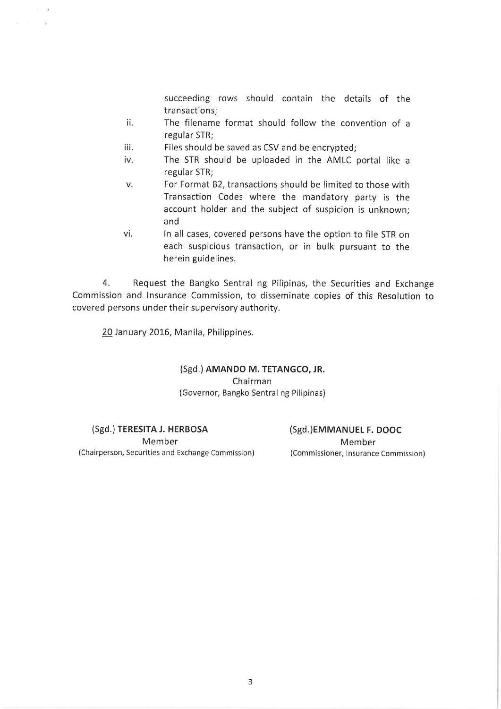succeeding rows should contain the details of the transactions:

- The filename format should follow the convention of a ii. regular STR:
- iii. Files should be saved as CSV and be encrypted;
- iv. The STR should be uploaded in the AMLC portal like a regular STR;
- For Format B2, transactions should be limited to those with v. Transaction Codes where the mandatory party is the account holder and the subject of suspicion is unknown; and
- vi. In all cases, covered persons have the option to file STR on each suspicious transaction, or in bulk pursuant to the herein guidelines.

Request the Bangko Sentral ng Pilipinas, the Securities and Exchange  $4.$ Commission and Insurance Commission, to disseminate copies of this Resolution to covered persons under their supervisory authority.

20 January 2016, Manila, Philippines.

 $1 - 18$ 

# (Sgd.) AMANDO M. TETANGCO, JR. Chairman (Governor, Bangko Sentral ng Pilipinas)

(Sgd.) TERESITA J. HERBOSA Member (Chairperson, Securities and Exchange Commission) (Sgd.)EMMANUEL F. DOOC Member (Commissioner, Insurance Commission)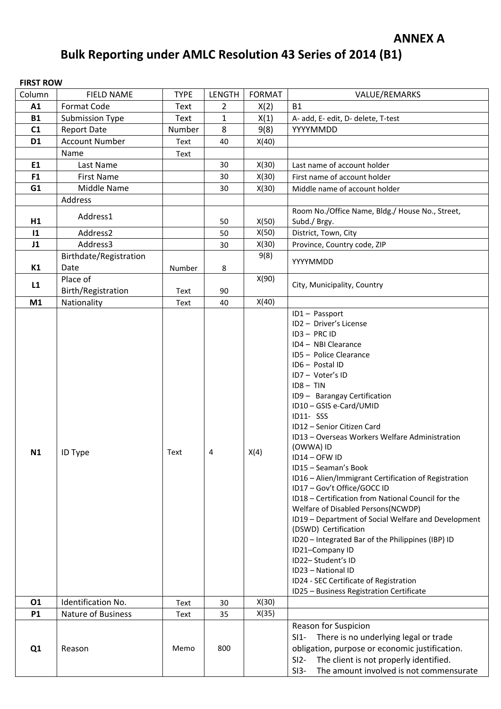# **Bulk Reporting under AMLC Resolution 43 Series of 2014 (B1)**

# **FIRST ROW**

| Column         | <b>FIELD NAME</b>      | <b>TYPE</b> | <b>LENGTH</b>  | <b>FORMAT</b> | VALUE/REMARKS                                                                                                                                                                                                                                                                                                                                                                                                                                                                                                                                                                                                                                                                                                                                                                                        |
|----------------|------------------------|-------------|----------------|---------------|------------------------------------------------------------------------------------------------------------------------------------------------------------------------------------------------------------------------------------------------------------------------------------------------------------------------------------------------------------------------------------------------------------------------------------------------------------------------------------------------------------------------------------------------------------------------------------------------------------------------------------------------------------------------------------------------------------------------------------------------------------------------------------------------------|
| A1             | Format Code            | Text        | $\overline{2}$ | X(2)          | <b>B1</b>                                                                                                                                                                                                                                                                                                                                                                                                                                                                                                                                                                                                                                                                                                                                                                                            |
| <b>B1</b>      | <b>Submission Type</b> | Text        | $\mathbf{1}$   | X(1)          | A- add, E- edit, D- delete, T-test                                                                                                                                                                                                                                                                                                                                                                                                                                                                                                                                                                                                                                                                                                                                                                   |
| C1             | <b>Report Date</b>     | Number      | 8              | 9(8)          | YYYYMMDD                                                                                                                                                                                                                                                                                                                                                                                                                                                                                                                                                                                                                                                                                                                                                                                             |
| D <sub>1</sub> | <b>Account Number</b>  | Text        | 40             | X(40)         |                                                                                                                                                                                                                                                                                                                                                                                                                                                                                                                                                                                                                                                                                                                                                                                                      |
|                | Name                   | Text        |                |               |                                                                                                                                                                                                                                                                                                                                                                                                                                                                                                                                                                                                                                                                                                                                                                                                      |
| E1             | Last Name              |             | 30             | X(30)         | Last name of account holder                                                                                                                                                                                                                                                                                                                                                                                                                                                                                                                                                                                                                                                                                                                                                                          |
| F <sub>1</sub> | <b>First Name</b>      |             | 30             | X(30)         | First name of account holder                                                                                                                                                                                                                                                                                                                                                                                                                                                                                                                                                                                                                                                                                                                                                                         |
| G1             | Middle Name            |             | 30             | X(30)         | Middle name of account holder                                                                                                                                                                                                                                                                                                                                                                                                                                                                                                                                                                                                                                                                                                                                                                        |
|                | Address                |             |                |               |                                                                                                                                                                                                                                                                                                                                                                                                                                                                                                                                                                                                                                                                                                                                                                                                      |
| H1             | Address1               |             | 50             | X(50)         | Room No./Office Name, Bldg./ House No., Street,<br>Subd./ Brgy.                                                                                                                                                                                                                                                                                                                                                                                                                                                                                                                                                                                                                                                                                                                                      |
| $\mathbf{11}$  | Address2               |             | 50             | X(50)         | District, Town, City                                                                                                                                                                                                                                                                                                                                                                                                                                                                                                                                                                                                                                                                                                                                                                                 |
| J1             | Address3               |             | 30             | X(30)         | Province, Country code, ZIP                                                                                                                                                                                                                                                                                                                                                                                                                                                                                                                                                                                                                                                                                                                                                                          |
|                | Birthdate/Registration |             |                | 9(8)          |                                                                                                                                                                                                                                                                                                                                                                                                                                                                                                                                                                                                                                                                                                                                                                                                      |
| K1             | Date                   | Number      | 8              |               | YYYYMMDD                                                                                                                                                                                                                                                                                                                                                                                                                                                                                                                                                                                                                                                                                                                                                                                             |
|                | Place of               |             |                | X(90)         |                                                                                                                                                                                                                                                                                                                                                                                                                                                                                                                                                                                                                                                                                                                                                                                                      |
| L1             | Birth/Registration     | Text        | 90             |               | City, Municipality, Country                                                                                                                                                                                                                                                                                                                                                                                                                                                                                                                                                                                                                                                                                                                                                                          |
| M1             | Nationality            | Text        | 40             | X(40)         |                                                                                                                                                                                                                                                                                                                                                                                                                                                                                                                                                                                                                                                                                                                                                                                                      |
| N1             | ID Type                | Text        | 4              | X(4)          | ID1- Passport<br>ID2 - Driver's License<br>ID3-PRCID<br>ID4 - NBI Clearance<br>ID5 - Police Clearance<br>ID6 - Postal ID<br>ID7- Voter's ID<br>$ID8 - TIN$<br>ID9 - Barangay Certification<br>ID10-GSIS e-Card/UMID<br>ID11-SSS<br>ID12 - Senior Citizen Card<br>ID13 - Overseas Workers Welfare Administration<br>(OWWA) ID<br>ID14 - OFW ID<br>ID15 - Seaman's Book<br>ID16 - Alien/Immigrant Certification of Registration<br>ID17 - Gov't Office/GOCC ID<br>ID18 - Certification from National Council for the<br>Welfare of Disabled Persons(NCWDP)<br>ID19 - Department of Social Welfare and Development<br>(DSWD) Certification<br>ID20 - Integrated Bar of the Philippines (IBP) ID<br>ID21-Company ID<br>ID22-Student's ID<br>ID23 - National ID<br>ID24 - SEC Certificate of Registration |
| 01             | Identification No.     | Text        | 30             | X(30)         | ID25 - Business Registration Certificate                                                                                                                                                                                                                                                                                                                                                                                                                                                                                                                                                                                                                                                                                                                                                             |
| <b>P1</b>      | Nature of Business     | Text        | 35             | X(35)         |                                                                                                                                                                                                                                                                                                                                                                                                                                                                                                                                                                                                                                                                                                                                                                                                      |
| Q1             | Reason                 | Memo        | 800            |               | Reason for Suspicion<br>There is no underlying legal or trade<br>$SI1-$<br>obligation, purpose or economic justification.<br>The client is not properly identified.<br>$SI2-$<br>The amount involved is not commensurate<br>$SI3-$                                                                                                                                                                                                                                                                                                                                                                                                                                                                                                                                                                   |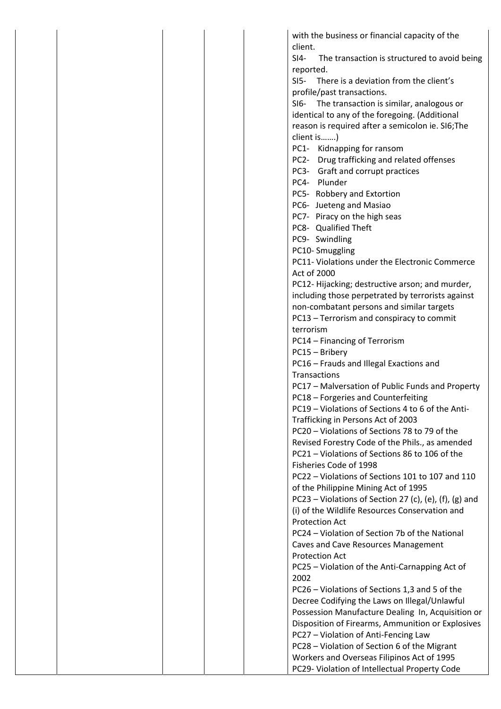|  | with the business or financial capacity of the                      |
|--|---------------------------------------------------------------------|
|  | client.                                                             |
|  | The transaction is structured to avoid being<br>$SI4-$<br>reported. |
|  | There is a deviation from the client's<br>$SI5-$                    |
|  |                                                                     |
|  | profile/past transactions.                                          |
|  | SI6- The transaction is similar, analogous or                       |
|  | identical to any of the foregoing. (Additional                      |
|  | reason is required after a semicolon ie. SI6; The                   |
|  | client is)                                                          |
|  | PC1- Kidnapping for ransom                                          |
|  | PC2- Drug trafficking and related offenses                          |
|  | PC3- Graft and corrupt practices                                    |
|  | PC4- Plunder                                                        |
|  | PC5- Robbery and Extortion                                          |
|  | PC6- Jueteng and Masiao                                             |
|  | PC7- Piracy on the high seas                                        |
|  | PC8- Qualified Theft                                                |
|  | PC9- Swindling                                                      |
|  | PC10-Smuggling                                                      |
|  | PC11- Violations under the Electronic Commerce                      |
|  | Act of 2000                                                         |
|  | PC12-Hijacking; destructive arson; and murder,                      |
|  | including those perpetrated by terrorists against                   |
|  | non-combatant persons and similar targets                           |
|  | PC13 - Terrorism and conspiracy to commit                           |
|  | terrorism                                                           |
|  |                                                                     |
|  | PC14 - Financing of Terrorism                                       |
|  | PC15 - Bribery                                                      |
|  | PC16 - Frauds and Illegal Exactions and                             |
|  | Transactions                                                        |
|  | PC17 - Malversation of Public Funds and Property                    |
|  | PC18 - Forgeries and Counterfeiting                                 |
|  | PC19 - Violations of Sections 4 to 6 of the Anti-                   |
|  | Trafficking in Persons Act of 2003                                  |
|  | PC20 - Violations of Sections 78 to 79 of the                       |
|  | Revised Forestry Code of the Phils., as amended                     |
|  | PC21 - Violations of Sections 86 to 106 of the                      |
|  | Fisheries Code of 1998                                              |
|  | PC22 - Violations of Sections 101 to 107 and 110                    |
|  | of the Philippine Mining Act of 1995                                |
|  | PC23 - Violations of Section 27 (c), (e), (f), (g) and              |
|  | (i) of the Wildlife Resources Conservation and                      |
|  | <b>Protection Act</b>                                               |
|  | PC24 - Violation of Section 7b of the National                      |
|  | Caves and Cave Resources Management                                 |
|  | <b>Protection Act</b>                                               |
|  | PC25 - Violation of the Anti-Carnapping Act of                      |
|  | 2002                                                                |
|  | PC26 - Violations of Sections 1,3 and 5 of the                      |
|  | Decree Codifying the Laws on Illegal/Unlawful                       |
|  | Possession Manufacture Dealing In, Acquisition or                   |
|  | Disposition of Firearms, Ammunition or Explosives                   |
|  |                                                                     |
|  | PC27 - Violation of Anti-Fencing Law                                |
|  | PC28 - Violation of Section 6 of the Migrant                        |
|  | Workers and Overseas Filipinos Act of 1995                          |
|  | PC29- Violation of Intellectual Property Code                       |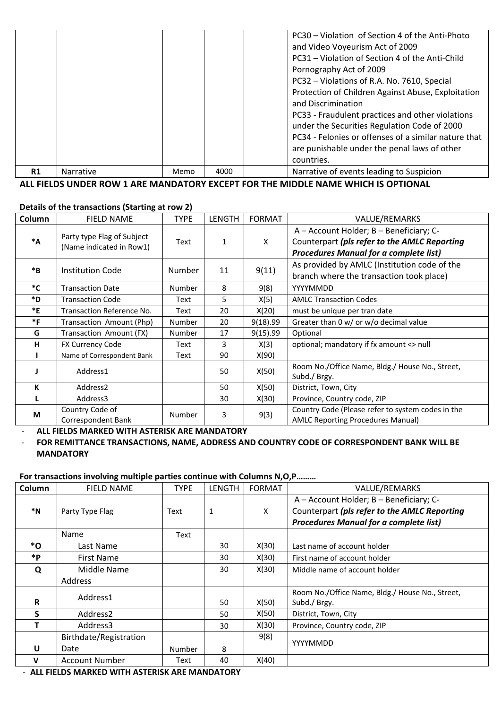|    |                  |      |      | PC30 – Violation of Section 4 of the Anti-Photo<br>and Video Voyeurism Act of 2009<br>PC31 – Violation of Section 4 of the Anti-Child<br>Pornography Act of 2009<br>PC32 - Violations of R.A. No. 7610, Special<br>Protection of Children Against Abuse, Exploitation<br>and Discrimination<br>PC33 - Fraudulent practices and other violations<br>under the Securities Regulation Code of 2000<br>PC34 - Felonies or offenses of a similar nature that<br>are punishable under the penal laws of other<br>countries. |  |
|----|------------------|------|------|-----------------------------------------------------------------------------------------------------------------------------------------------------------------------------------------------------------------------------------------------------------------------------------------------------------------------------------------------------------------------------------------------------------------------------------------------------------------------------------------------------------------------|--|
| R1 | <b>Narrative</b> | Memo | 4000 | Narrative of events leading to Suspicion                                                                                                                                                                                                                                                                                                                                                                                                                                                                              |  |

**ALL FIELDS UNDER ROW 1 ARE MANDATORY EXCEPT FOR THE MIDDLE NAME WHICH IS OPTIONAL**

#### **Details of the transactions (Starting at row 2)**

| Column           | <b>FIELD NAME</b>                                      | <b>TYPE</b>   | <b>LENGTH</b> | <b>FORMAT</b> | VALUE/REMARKS                                                                                                                            |
|------------------|--------------------------------------------------------|---------------|---------------|---------------|------------------------------------------------------------------------------------------------------------------------------------------|
| $^*A$            | Party type Flag of Subject<br>(Name indicated in Row1) | Text          | 1             | X             | A - Account Holder; B - Beneficiary; C-<br>Counterpart (pls refer to the AMLC Reporting<br><b>Procedures Manual for a complete list)</b> |
| $*_{\mathbf{B}}$ | <b>Institution Code</b>                                | Number        | 11            | 9(11)         | As provided by AMLC (Institution code of the<br>branch where the transaction took place)                                                 |
| *C               | <b>Transaction Date</b>                                | Number        | 8             | 9(8)          | YYYYMMDD                                                                                                                                 |
| *D               | <b>Transaction Code</b>                                | Text          | 5             | X(5)          | <b>AMLC Transaction Codes</b>                                                                                                            |
| *E               | Transaction Reference No.                              | Text          | 20            | X(20)         | must be unique per tran date                                                                                                             |
| $*F$             | Transaction Amount (Php)                               | Number        | 20            | 9(18).99      | Greater than 0 w/ or w/o decimal value                                                                                                   |
| G                | Transaction Amount (FX)                                | <b>Number</b> | 17            | 9(15).99      | Optional                                                                                                                                 |
| н                | FX Currency Code                                       | Text          | 3             | X(3)          | optional; mandatory if fx amount <> null                                                                                                 |
|                  | Name of Correspondent Bank                             | Text          | 90            | X(90)         |                                                                                                                                          |
|                  | Address1                                               |               | 50            | X(50)         | Room No./Office Name, Bldg./ House No., Street,<br>Subd./ Brgy.                                                                          |
| К                | Address <sub>2</sub>                                   |               | 50            | X(50)         | District, Town, City                                                                                                                     |
|                  | Address3                                               |               | 30            | X(30)         | Province, Country code, ZIP                                                                                                              |
| M                | Country Code of<br>Correspondent Bank                  | Number        | 3             | 9(3)          | Country Code (Please refer to system codes in the<br><b>AMLC Reporting Procedures Manual)</b>                                            |

‐ **ALL FIELDS MARKED WITH ASTERISK ARE MANDATORY**

### ‐ **FOR REMITTANCE TRANSACTIONS, NAME, ADDRESS AND COUNTRY CODE OF CORRESPONDENT BANK WILL BE MANDATORY**

#### **For transactions involving multiple parties continue with Columns N,O,P………**

| Column  | <b>FIELD NAME</b>      | <b>TYPE</b> | LENGTH | <b>FORMAT</b> | VALUE/REMARKS                                                                                                                            |
|---------|------------------------|-------------|--------|---------------|------------------------------------------------------------------------------------------------------------------------------------------|
| $*_{N}$ | Party Type Flag        | Text        | 1      | X             | A - Account Holder; B - Beneficiary; C-<br>Counterpart (pls refer to the AMLC Reporting<br><b>Procedures Manual for a complete list)</b> |
|         | Name                   | Text        |        |               |                                                                                                                                          |
| *O      | Last Name              |             | 30     | X(30)         | Last name of account holder                                                                                                              |
| *P      | <b>First Name</b>      |             | 30     | X(30)         | First name of account holder                                                                                                             |
| Q       | Middle Name            |             | 30     | X(30)         | Middle name of account holder                                                                                                            |
|         | Address                |             |        |               |                                                                                                                                          |
| R       | Address1               |             | 50     | X(50)         | Room No./Office Name, Bldg./ House No., Street,<br>Subd./ Brgy.                                                                          |
| S       | Address <sub>2</sub>   |             | 50     | X(50)         | District, Town, City                                                                                                                     |
|         | Address3               |             | 30     | X(30)         | Province, Country code, ZIP                                                                                                              |
|         | Birthdate/Registration |             |        | 9(8)          | YYYYMMDD                                                                                                                                 |
| U       | Date                   | Number      | 8      |               |                                                                                                                                          |
| v       | <b>Account Number</b>  | Text        | 40     | X(40)         |                                                                                                                                          |

‐ **ALL FIELDS MARKED WITH ASTERISK ARE MANDATORY**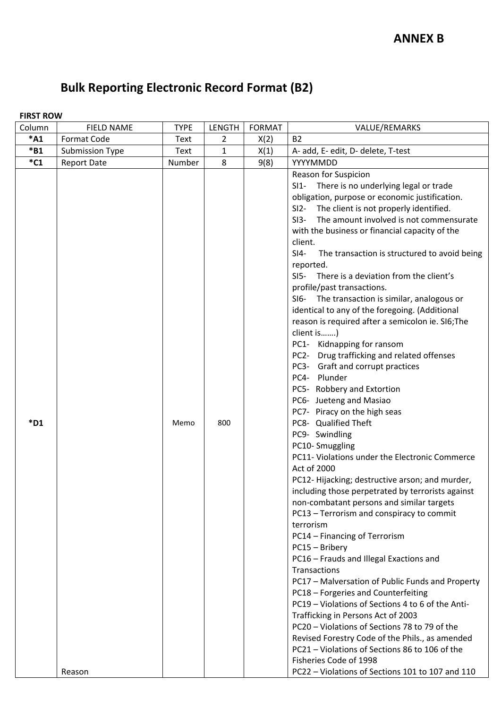# **Bulk Reporting Electronic Record Format (B2)**

# **FIRST ROW**

| Column  | <b>FIELD NAME</b>      | <b>TYPE</b> | <b>LENGTH</b> | <b>FORMAT</b> | VALUE/REMARKS                                                                                                                                                                                                                                                                                                                                                                                                                                                                                                                                                                                                                                                                                                                                                                                                                                                                                                                                                                                                                                                                                                                                                                                                                                                                                                                                                                                                                                                                                                                                                                                                                                                                |
|---------|------------------------|-------------|---------------|---------------|------------------------------------------------------------------------------------------------------------------------------------------------------------------------------------------------------------------------------------------------------------------------------------------------------------------------------------------------------------------------------------------------------------------------------------------------------------------------------------------------------------------------------------------------------------------------------------------------------------------------------------------------------------------------------------------------------------------------------------------------------------------------------------------------------------------------------------------------------------------------------------------------------------------------------------------------------------------------------------------------------------------------------------------------------------------------------------------------------------------------------------------------------------------------------------------------------------------------------------------------------------------------------------------------------------------------------------------------------------------------------------------------------------------------------------------------------------------------------------------------------------------------------------------------------------------------------------------------------------------------------------------------------------------------------|
| $*A1$   | Format Code            | Text        | 2             | X(2)          | <b>B2</b>                                                                                                                                                                                                                                                                                                                                                                                                                                                                                                                                                                                                                                                                                                                                                                                                                                                                                                                                                                                                                                                                                                                                                                                                                                                                                                                                                                                                                                                                                                                                                                                                                                                                    |
| $*B1$   | <b>Submission Type</b> | <b>Text</b> | 1             | X(1)          | A- add, E- edit, D- delete, T-test                                                                                                                                                                                                                                                                                                                                                                                                                                                                                                                                                                                                                                                                                                                                                                                                                                                                                                                                                                                                                                                                                                                                                                                                                                                                                                                                                                                                                                                                                                                                                                                                                                           |
| $^*$ C1 | <b>Report Date</b>     | Number      | 8             | 9(8)          | YYYYMMDD                                                                                                                                                                                                                                                                                                                                                                                                                                                                                                                                                                                                                                                                                                                                                                                                                                                                                                                                                                                                                                                                                                                                                                                                                                                                                                                                                                                                                                                                                                                                                                                                                                                                     |
| $*D1$   |                        | Memo        | 800           |               | Reason for Suspicion<br>SI1- There is no underlying legal or trade<br>obligation, purpose or economic justification.<br>The client is not properly identified.<br>$SI2-$<br>The amount involved is not commensurate<br>$SI3-$<br>with the business or financial capacity of the<br>client.<br>$SI4-$<br>The transaction is structured to avoid being<br>reported.<br>SI5- There is a deviation from the client's<br>profile/past transactions.<br>SI6- The transaction is similar, analogous or<br>identical to any of the foregoing. (Additional<br>reason is required after a semicolon ie. SI6; The<br>client is)<br>PC1- Kidnapping for ransom<br>PC2- Drug trafficking and related offenses<br>PC3- Graft and corrupt practices<br>PC4- Plunder<br>PC5- Robbery and Extortion<br>PC6- Jueteng and Masiao<br>PC7- Piracy on the high seas<br>PC8- Qualified Theft<br>PC9- Swindling<br>PC10-Smuggling<br>PC11- Violations under the Electronic Commerce<br>Act of 2000<br>PC12-Hijacking; destructive arson; and murder,<br>including those perpetrated by terrorists against<br>non-combatant persons and similar targets<br>PC13 - Terrorism and conspiracy to commit<br>terrorism<br>PC14 - Financing of Terrorism<br>PC15 - Bribery<br>PC16 - Frauds and Illegal Exactions and<br>Transactions<br>PC17 - Malversation of Public Funds and Property<br>PC18 - Forgeries and Counterfeiting<br>PC19 - Violations of Sections 4 to 6 of the Anti-<br>Trafficking in Persons Act of 2003<br>PC20 - Violations of Sections 78 to 79 of the<br>Revised Forestry Code of the Phils., as amended<br>PC21 - Violations of Sections 86 to 106 of the<br>Fisheries Code of 1998 |
|         | Reason                 |             |               |               | PC22 - Violations of Sections 101 to 107 and 110                                                                                                                                                                                                                                                                                                                                                                                                                                                                                                                                                                                                                                                                                                                                                                                                                                                                                                                                                                                                                                                                                                                                                                                                                                                                                                                                                                                                                                                                                                                                                                                                                             |